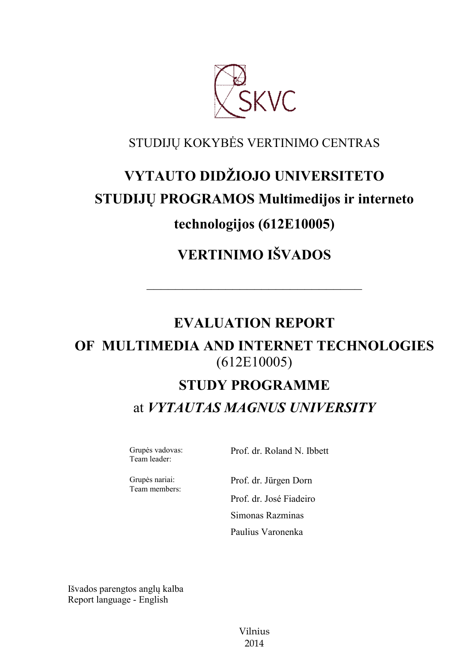

### STUDIJŲ KOKYBĖS VERTINIMO CENTRAS

# **VYTAUTO DIDŽIOJO UNIVERSITETO STUDIJŲ PROGRAMOS Multimedijos ir interneto technologijos (612E10005)**

## **VERTINIMO IŠVADOS**

### **EVALUATION REPORT**

––––––––––––––––––––––––––––––

### **OF MULTIMEDIA AND INTERNET TECHNOLOGIES** (612E10005)

# **STUDY PROGRAMME** at *VYTAUTAS MAGNUS UNIVERSITY*

Grupės vadovas: Team leader:

Prof. dr. Roland N. Ibbett

Grupės nariai: Team members:

Prof. dr. Jürgen Dorn Prof. dr. José Fiadeiro Simonas Razminas

Paulius Varonenka

Išvados parengtos anglų kalba Report language - English

> Vilnius 2014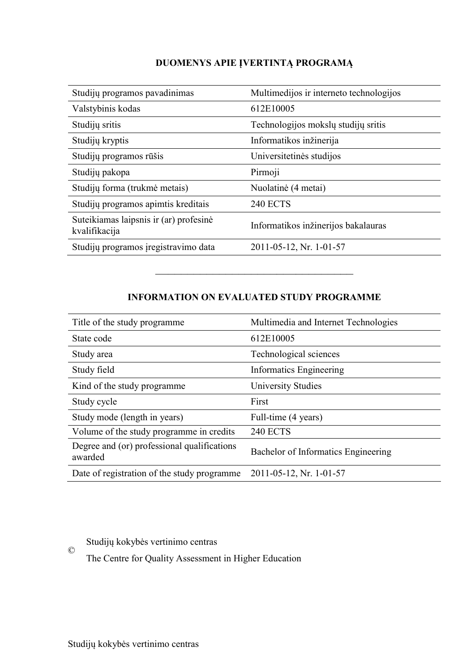#### **DUOMENYS APIE ĮVERTINTĄ PROGRAMĄ**

| Studijų programos pavadinimas                           | Multimedijos ir interneto technologijos |
|---------------------------------------------------------|-----------------------------------------|
| Valstybinis kodas                                       | 612E10005                               |
| Studijų sritis                                          | Technologijos mokslų studijų sritis     |
| Studijų kryptis                                         | Informatikos inžinerija                 |
| Studijų programos rūšis                                 | Universitetinės studijos                |
| Studijų pakopa                                          | Pirmoji                                 |
| Studijų forma (trukmė metais)                           | Nuolatinė (4 metai)                     |
| Studijų programos apimtis kreditais                     | <b>240 ECTS</b>                         |
| Suteikiamas laipsnis ir (ar) profesinė<br>kvalifikacija | Informatikos inžinerijos bakalauras     |
| Studijų programos įregistravimo data                    | 2011-05-12, Nr. 1-01-57                 |

#### **INFORMATION ON EVALUATED STUDY PROGRAMME**

–––––––––––––––––––––––––––––––

| Title of the study programme.                          | Multimedia and Internet Technologies |
|--------------------------------------------------------|--------------------------------------|
| State code                                             | 612E10005                            |
| Study area                                             | Technological sciences               |
| Study field                                            | Informatics Engineering              |
| Kind of the study programme.                           | University Studies                   |
| Study cycle                                            | First                                |
| Study mode (length in years)                           | Full-time (4 years)                  |
| Volume of the study programme in credits               | <b>240 ECTS</b>                      |
| Degree and (or) professional qualifications<br>awarded | Bachelor of Informatics Engineering  |
| Date of registration of the study programme            | 2011-05-12, Nr. 1-01-57              |

Studijų kokybės vertinimo centras ©

The Centre for Quality Assessment in Higher Education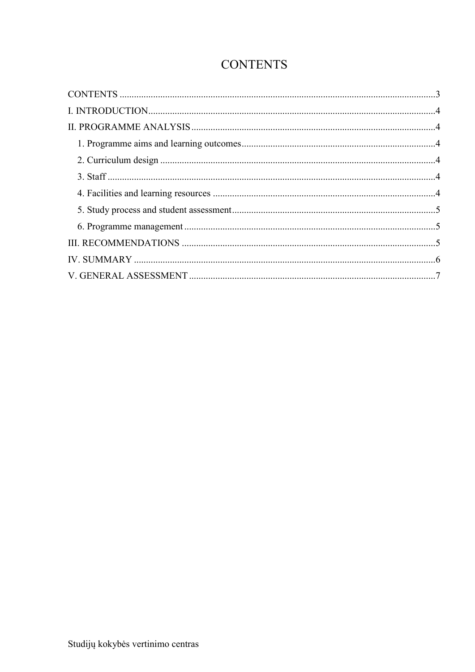### **CONTENTS**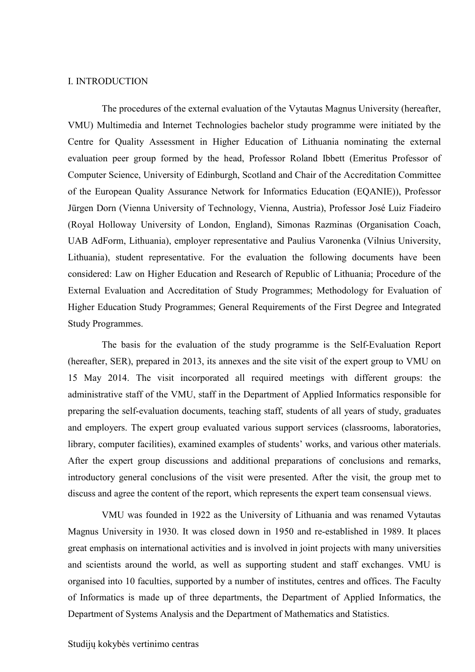#### I. INTRODUCTION

The procedures of the external evaluation of the Vytautas Magnus University (hereafter, VMU) Multimedia and Internet Technologies bachelor study programme were initiated by the Centre for Quality Assessment in Higher Education of Lithuania nominating the external evaluation peer group formed by the head, Professor Roland Ibbett (Emeritus Professor of Computer Science, University of Edinburgh, Scotland and Chair of the Accreditation Committee of the European Quality Assurance Network for Informatics Education (EQANIE)), Professor Jürgen Dorn (Vienna University of Technology, Vienna, Austria), Professor José Luiz Fiadeiro (Royal Holloway University of London, England), Simonas Razminas (Organisation Coach, UAB AdForm, Lithuania), employer representative and Paulius Varonenka (Vilnius University, Lithuania), student representative. For the evaluation the following documents have been considered: Law on Higher Education and Research of Republic of Lithuania; Procedure of the External Evaluation and Accreditation of Study Programmes; Methodology for Evaluation of Higher Education Study Programmes; General Requirements of the First Degree and Integrated Study Programmes.

The basis for the evaluation of the study programme is the Self-Evaluation Report (hereafter, SER), prepared in 2013, its annexes and the site visit of the expert group to VMU on 15 May 2014. The visit incorporated all required meetings with different groups: the administrative staff of the VMU, staff in the Department of Applied Informatics responsible for preparing the self-evaluation documents, teaching staff, students of all years of study, graduates and employers. The expert group evaluated various support services (classrooms, laboratories, library, computer facilities), examined examples of students' works, and various other materials. After the expert group discussions and additional preparations of conclusions and remarks, introductory general conclusions of the visit were presented. After the visit, the group met to discuss and agree the content of the report, which represents the expert team consensual views.

VMU was founded in 1922 as the University of Lithuania and was renamed Vytautas Magnus University in 1930. It was closed down in 1950 and re-established in 1989. It places great emphasis on international activities and is involved in joint projects with many universities and scientists around the world, as well as supporting student and staff exchanges. VMU is organised into 10 faculties, supported by a number of institutes, centres and offices. The Faculty of Informatics is made up of three departments, the Department of Applied Informatics, the Department of Systems Analysis and the Department of Mathematics and Statistics.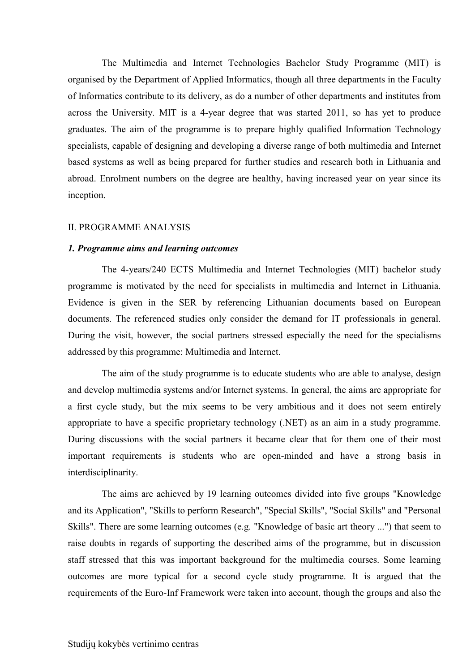The Multimedia and Internet Technologies Bachelor Study Programme (MIT) is organised by the Department of Applied Informatics, though all three departments in the Faculty of Informatics contribute to its delivery, as do a number of other departments and institutes from across the University. MIT is a 4-year degree that was started 2011, so has yet to produce graduates. The aim of the programme is to prepare highly qualified Information Technology specialists, capable of designing and developing a diverse range of both multimedia and Internet based systems as well as being prepared for further studies and research both in Lithuania and abroad. Enrolment numbers on the degree are healthy, having increased year on year since its inception.

#### II. PROGRAMME ANALYSIS

#### *1. Programme aims and learning outcomes*

The 4-years/240 ECTS Multimedia and Internet Technologies (MIT) bachelor study programme is motivated by the need for specialists in multimedia and Internet in Lithuania. Evidence is given in the SER by referencing Lithuanian documents based on European documents. The referenced studies only consider the demand for IT professionals in general. During the visit, however, the social partners stressed especially the need for the specialisms addressed by this programme: Multimedia and Internet.

The aim of the study programme is to educate students who are able to analyse, design and develop multimedia systems and/or Internet systems. In general, the aims are appropriate for a first cycle study, but the mix seems to be very ambitious and it does not seem entirely appropriate to have a specific proprietary technology (.NET) as an aim in a study programme. During discussions with the social partners it became clear that for them one of their most important requirements is students who are open-minded and have a strong basis in interdisciplinarity.

The aims are achieved by 19 learning outcomes divided into five groups "Knowledge and its Application", "Skills to perform Research", "Special Skills", "Social Skills" and "Personal Skills". There are some learning outcomes (e.g. "Knowledge of basic art theory ...") that seem to raise doubts in regards of supporting the described aims of the programme, but in discussion staff stressed that this was important background for the multimedia courses. Some learning outcomes are more typical for a second cycle study programme. It is argued that the requirements of the Euro-Inf Framework were taken into account, though the groups and also the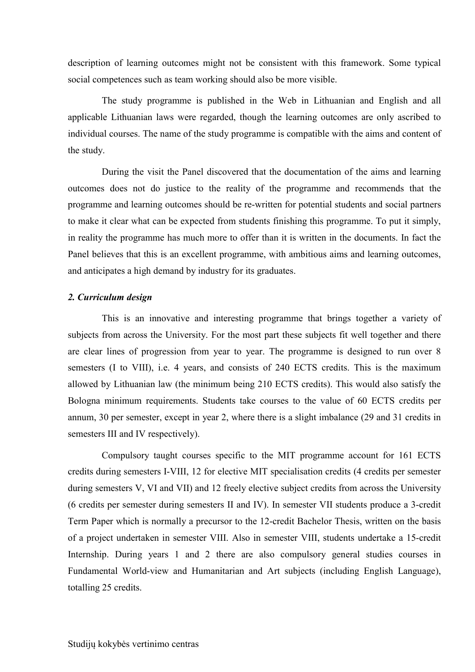description of learning outcomes might not be consistent with this framework. Some typical social competences such as team working should also be more visible.

The study programme is published in the Web in Lithuanian and English and all applicable Lithuanian laws were regarded, though the learning outcomes are only ascribed to individual courses. The name of the study programme is compatible with the aims and content of the study.

During the visit the Panel discovered that the documentation of the aims and learning outcomes does not do justice to the reality of the programme and recommends that the programme and learning outcomes should be re-written for potential students and social partners to make it clear what can be expected from students finishing this programme. To put it simply, in reality the programme has much more to offer than it is written in the documents. In fact the Panel believes that this is an excellent programme, with ambitious aims and learning outcomes, and anticipates a high demand by industry for its graduates.

#### *2. Curriculum design*

This is an innovative and interesting programme that brings together a variety of subjects from across the University. For the most part these subjects fit well together and there are clear lines of progression from year to year. The programme is designed to run over 8 semesters (I to VIII), i.e. 4 years, and consists of 240 ECTS credits. This is the maximum allowed by Lithuanian law (the minimum being 210 ECTS credits). This would also satisfy the Bologna minimum requirements. Students take courses to the value of 60 ECTS credits per annum, 30 per semester, except in year 2, where there is a slight imbalance (29 and 31 credits in semesters III and IV respectively).

Compulsory taught courses specific to the MIT programme account for 161 ECTS credits during semesters I-VIII, 12 for elective MIT specialisation credits (4 credits per semester during semesters V, VI and VII) and 12 freely elective subject credits from across the University (6 credits per semester during semesters II and IV). In semester VII students produce a 3-credit Term Paper which is normally a precursor to the 12-credit Bachelor Thesis, written on the basis of a project undertaken in semester VIII. Also in semester VIII, students undertake a 15-credit Internship. During years 1 and 2 there are also compulsory general studies courses in Fundamental World-view and Humanitarian and Art subjects (including English Language), totalling 25 credits.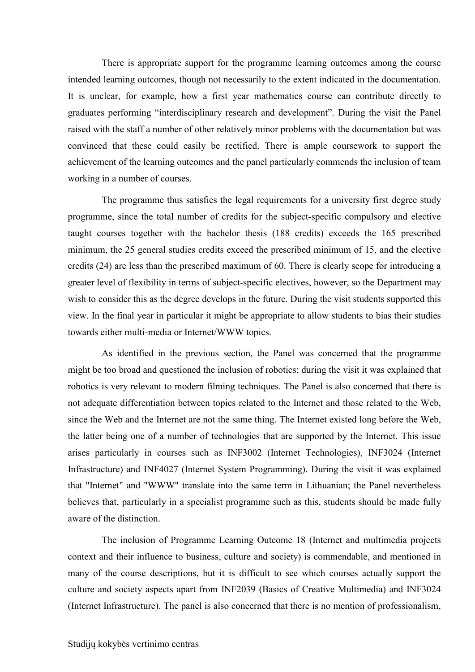There is appropriate support for the programme learning outcomes among the course intended learning outcomes, though not necessarily to the extent indicated in the documentation. It is unclear, for example, how a first year mathematics course can contribute directly to graduates performing "interdisciplinary research and development". During the visit the Panel raised with the staff a number of other relatively minor problems with the documentation but was convinced that these could easily be rectified. There is ample coursework to support the achievement of the learning outcomes and the panel particularly commends the inclusion of team working in a number of courses.

The programme thus satisfies the legal requirements for a university first degree study programme, since the total number of credits for the subject-specific compulsory and elective taught courses together with the bachelor thesis (188 credits) exceeds the 165 prescribed minimum, the 25 general studies credits exceed the prescribed minimum of 15, and the elective credits (24) are less than the prescribed maximum of 60. There is clearly scope for introducing a greater level of flexibility in terms of subject-specific electives, however, so the Department may wish to consider this as the degree develops in the future. During the visit students supported this view. In the final year in particular it might be appropriate to allow students to bias their studies towards either multi-media or Internet/WWW topics.

As identified in the previous section, the Panel was concerned that the programme might be too broad and questioned the inclusion of robotics; during the visit it was explained that robotics is very relevant to modern filming techniques. The Panel is also concerned that there is not adequate differentiation between topics related to the Internet and those related to the Web, since the Web and the Internet are not the same thing. The Internet existed long before the Web, the latter being one of a number of technologies that are supported by the Internet. This issue arises particularly in courses such as INF3002 (Internet Technologies), INF3024 (Internet Infrastructure) and INF4027 (Internet System Programming). During the visit it was explained that "Internet" and "WWW" translate into the same term in Lithuanian; the Panel nevertheless believes that, particularly in a specialist programme such as this, students should be made fully aware of the distinction.

The inclusion of Programme Learning Outcome 18 (Internet and multimedia projects context and their influence to business, culture and society) is commendable, and mentioned in many of the course descriptions, but it is difficult to see which courses actually support the culture and society aspects apart from INF2039 (Basics of Creative Multimedia) and INF3024 (Internet Infrastructure). The panel is also concerned that there is no mention of professionalism,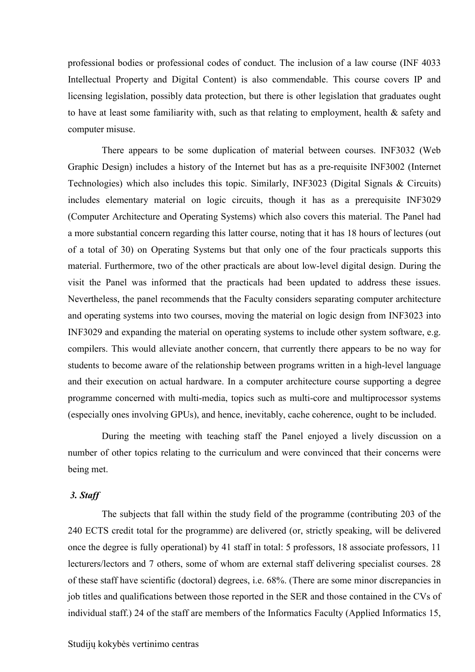professional bodies or professional codes of conduct. The inclusion of a law course (INF 4033 Intellectual Property and Digital Content) is also commendable. This course covers IP and licensing legislation, possibly data protection, but there is other legislation that graduates ought to have at least some familiarity with, such as that relating to employment, health & safety and computer misuse.

There appears to be some duplication of material between courses. INF3032 (Web Graphic Design) includes a history of the Internet but has as a pre-requisite INF3002 (Internet Technologies) which also includes this topic. Similarly, INF3023 (Digital Signals & Circuits) includes elementary material on logic circuits, though it has as a prerequisite INF3029 (Computer Architecture and Operating Systems) which also covers this material. The Panel had a more substantial concern regarding this latter course, noting that it has 18 hours of lectures (out of a total of 30) on Operating Systems but that only one of the four practicals supports this material. Furthermore, two of the other practicals are about low-level digital design. During the visit the Panel was informed that the practicals had been updated to address these issues. Nevertheless, the panel recommends that the Faculty considers separating computer architecture and operating systems into two courses, moving the material on logic design from INF3023 into INF3029 and expanding the material on operating systems to include other system software, e.g. compilers. This would alleviate another concern, that currently there appears to be no way for students to become aware of the relationship between programs written in a high-level language and their execution on actual hardware. In a computer architecture course supporting a degree programme concerned with multi-media, topics such as multi-core and multiprocessor systems (especially ones involving GPUs), and hence, inevitably, cache coherence, ought to be included.

During the meeting with teaching staff the Panel enjoyed a lively discussion on a number of other topics relating to the curriculum and were convinced that their concerns were being met.

#### *3. Staff*

The subjects that fall within the study field of the programme (contributing 203 of the 240 ECTS credit total for the programme) are delivered (or, strictly speaking, will be delivered once the degree is fully operational) by 41 staff in total: 5 professors, 18 associate professors, 11 lecturers/lectors and 7 others, some of whom are external staff delivering specialist courses. 28 of these staff have scientific (doctoral) degrees, i.e. 68%. (There are some minor discrepancies in job titles and qualifications between those reported in the SER and those contained in the CVs of individual staff.) 24 of the staff are members of the Informatics Faculty (Applied Informatics 15,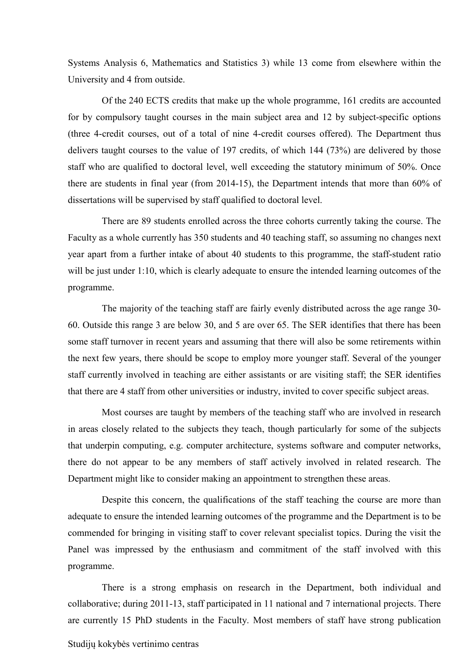Systems Analysis 6, Mathematics and Statistics 3) while 13 come from elsewhere within the University and 4 from outside.

Of the 240 ECTS credits that make up the whole programme, 161 credits are accounted for by compulsory taught courses in the main subject area and 12 by subject-specific options (three 4-credit courses, out of a total of nine 4-credit courses offered). The Department thus delivers taught courses to the value of 197 credits, of which 144 (73%) are delivered by those staff who are qualified to doctoral level, well exceeding the statutory minimum of 50%. Once there are students in final year (from 2014-15), the Department intends that more than 60% of dissertations will be supervised by staff qualified to doctoral level.

There are 89 students enrolled across the three cohorts currently taking the course. The Faculty as a whole currently has 350 students and 40 teaching staff, so assuming no changes next year apart from a further intake of about 40 students to this programme, the staff-student ratio will be just under 1:10, which is clearly adequate to ensure the intended learning outcomes of the programme.

The majority of the teaching staff are fairly evenly distributed across the age range 30- 60. Outside this range 3 are below 30, and 5 are over 65. The SER identifies that there has been some staff turnover in recent years and assuming that there will also be some retirements within the next few years, there should be scope to employ more younger staff. Several of the younger staff currently involved in teaching are either assistants or are visiting staff; the SER identifies that there are 4 staff from other universities or industry, invited to cover specific subject areas.

Most courses are taught by members of the teaching staff who are involved in research in areas closely related to the subjects they teach, though particularly for some of the subjects that underpin computing, e.g. computer architecture, systems software and computer networks, there do not appear to be any members of staff actively involved in related research. The Department might like to consider making an appointment to strengthen these areas.

Despite this concern, the qualifications of the staff teaching the course are more than adequate to ensure the intended learning outcomes of the programme and the Department is to be commended for bringing in visiting staff to cover relevant specialist topics. During the visit the Panel was impressed by the enthusiasm and commitment of the staff involved with this programme.

There is a strong emphasis on research in the Department, both individual and collaborative; during 2011-13, staff participated in 11 national and 7 international projects. There are currently 15 PhD students in the Faculty. Most members of staff have strong publication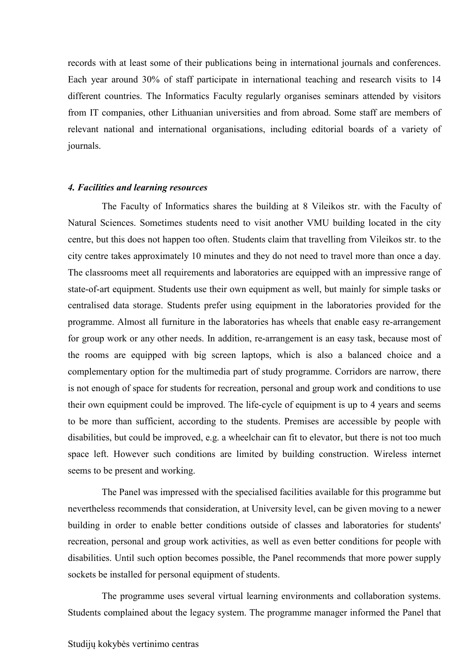records with at least some of their publications being in international journals and conferences. Each year around 30% of staff participate in international teaching and research visits to 14 different countries. The Informatics Faculty regularly organises seminars attended by visitors from IT companies, other Lithuanian universities and from abroad. Some staff are members of relevant national and international organisations, including editorial boards of a variety of journals.

#### *4. Facilities and learning resources*

The Faculty of Informatics shares the building at 8 Vileikos str. with the Faculty of Natural Sciences. Sometimes students need to visit another VMU building located in the city centre, but this does not happen too often. Students claim that travelling from Vileikos str. to the city centre takes approximately 10 minutes and they do not need to travel more than once a day. The classrooms meet all requirements and laboratories are equipped with an impressive range of state-of-art equipment. Students use their own equipment as well, but mainly for simple tasks or centralised data storage. Students prefer using equipment in the laboratories provided for the programme. Almost all furniture in the laboratories has wheels that enable easy re-arrangement for group work or any other needs. In addition, re-arrangement is an easy task, because most of the rooms are equipped with big screen laptops, which is also a balanced choice and a complementary option for the multimedia part of study programme. Corridors are narrow, there is not enough of space for students for recreation, personal and group work and conditions to use their own equipment could be improved. The life-cycle of equipment is up to 4 years and seems to be more than sufficient, according to the students. Premises are accessible by people with disabilities, but could be improved, e.g. a wheelchair can fit to elevator, but there is not too much space left. However such conditions are limited by building construction. Wireless internet seems to be present and working.

The Panel was impressed with the specialised facilities available for this programme but nevertheless recommends that consideration, at University level, can be given moving to a newer building in order to enable better conditions outside of classes and laboratories for students' recreation, personal and group work activities, as well as even better conditions for people with disabilities. Until such option becomes possible, the Panel recommends that more power supply sockets be installed for personal equipment of students.

The programme uses several virtual learning environments and collaboration systems. Students complained about the legacy system. The programme manager informed the Panel that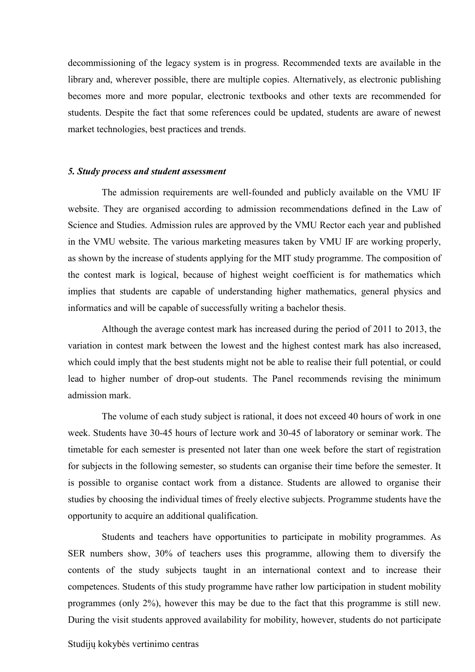decommissioning of the legacy system is in progress. Recommended texts are available in the library and, wherever possible, there are multiple copies. Alternatively, as electronic publishing becomes more and more popular, electronic textbooks and other texts are recommended for students. Despite the fact that some references could be updated, students are aware of newest market technologies, best practices and trends.

#### *5. Study process and student assessment*

The admission requirements are well-founded and publicly available on the VMU IF website. They are organised according to admission recommendations defined in the Law of Science and Studies. Admission rules are approved by the VMU Rector each year and published in the VMU website. The various marketing measures taken by VMU IF are working properly, as shown by the increase of students applying for the MIT study programme. The composition of the contest mark is logical, because of highest weight coefficient is for mathematics which implies that students are capable of understanding higher mathematics, general physics and informatics and will be capable of successfully writing a bachelor thesis.

Although the average contest mark has increased during the period of 2011 to 2013, the variation in contest mark between the lowest and the highest contest mark has also increased, which could imply that the best students might not be able to realise their full potential, or could lead to higher number of drop-out students. The Panel recommends revising the minimum admission mark.

The volume of each study subject is rational, it does not exceed 40 hours of work in one week. Students have 30-45 hours of lecture work and 30-45 of laboratory or seminar work. The timetable for each semester is presented not later than one week before the start of registration for subjects in the following semester, so students can organise their time before the semester. It is possible to organise contact work from a distance. Students are allowed to organise their studies by choosing the individual times of freely elective subjects. Programme students have the opportunity to acquire an additional qualification.

Students and teachers have opportunities to participate in mobility programmes. As SER numbers show, 30% of teachers uses this programme, allowing them to diversify the contents of the study subjects taught in an international context and to increase their competences. Students of this study programme have rather low participation in student mobility programmes (only 2%), however this may be due to the fact that this programme is still new. During the visit students approved availability for mobility, however, students do not participate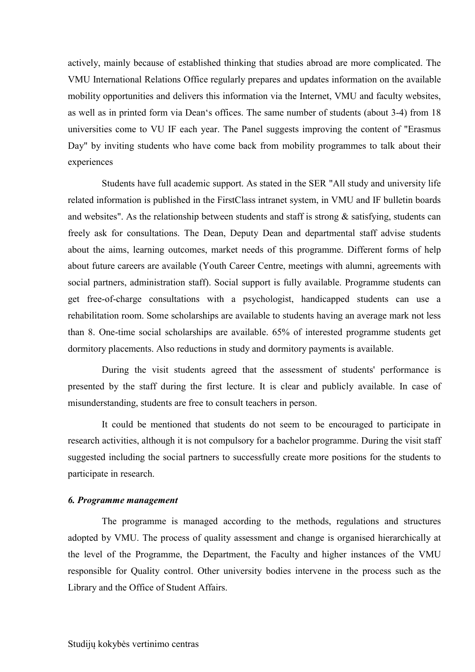actively, mainly because of established thinking that studies abroad are more complicated. The VMU International Relations Office regularly prepares and updates information on the available mobility opportunities and delivers this information via the Internet, VMU and faculty websites, as well as in printed form via Dean's offices. The same number of students (about 3-4) from 18 universities come to VU IF each year. The Panel suggests improving the content of "Erasmus Day" by inviting students who have come back from mobility programmes to talk about their experiences

Students have full academic support. As stated in the SER "All study and university life related information is published in the FirstClass intranet system, in VMU and IF bulletin boards and websites". As the relationship between students and staff is strong  $\&$  satisfying, students can freely ask for consultations. The Dean, Deputy Dean and departmental staff advise students about the aims, learning outcomes, market needs of this programme. Different forms of help about future careers are available (Youth Career Centre, meetings with alumni, agreements with social partners, administration staff). Social support is fully available. Programme students can get free-of-charge consultations with a psychologist, handicapped students can use a rehabilitation room. Some scholarships are available to students having an average mark not less than 8. One-time social scholarships are available. 65% of interested programme students get dormitory placements. Also reductions in study and dormitory payments is available.

During the visit students agreed that the assessment of students' performance is presented by the staff during the first lecture. It is clear and publicly available. In case of misunderstanding, students are free to consult teachers in person.

It could be mentioned that students do not seem to be encouraged to participate in research activities, although it is not compulsory for a bachelor programme. During the visit staff suggested including the social partners to successfully create more positions for the students to participate in research.

#### *6. Programme management*

The programme is managed according to the methods, regulations and structures adopted by VMU. The process of quality assessment and change is organised hierarchically at the level of the Programme, the Department, the Faculty and higher instances of the VMU responsible for Quality control. Other university bodies intervene in the process such as the Library and the Office of Student Affairs.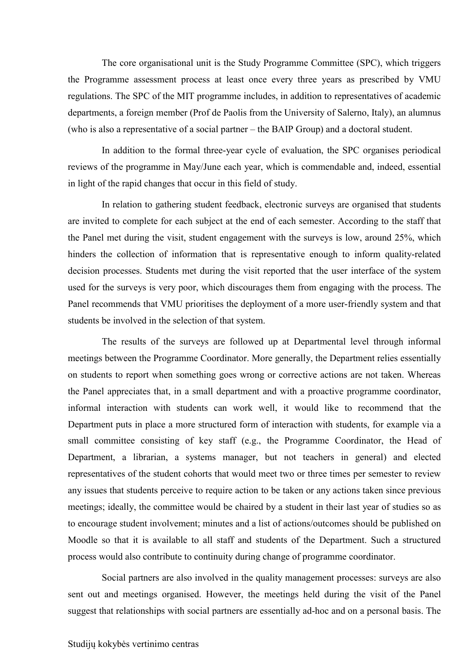The core organisational unit is the Study Programme Committee (SPC), which triggers the Programme assessment process at least once every three years as prescribed by VMU regulations. The SPC of the MIT programme includes, in addition to representatives of academic departments, a foreign member (Prof de Paolis from the University of Salerno, Italy), an alumnus (who is also a representative of a social partner – the BAIP Group) and a doctoral student.

In addition to the formal three-year cycle of evaluation, the SPC organises periodical reviews of the programme in May/June each year, which is commendable and, indeed, essential in light of the rapid changes that occur in this field of study.

In relation to gathering student feedback, electronic surveys are organised that students are invited to complete for each subject at the end of each semester. According to the staff that the Panel met during the visit, student engagement with the surveys is low, around 25%, which hinders the collection of information that is representative enough to inform quality-related decision processes. Students met during the visit reported that the user interface of the system used for the surveys is very poor, which discourages them from engaging with the process. The Panel recommends that VMU prioritises the deployment of a more user-friendly system and that students be involved in the selection of that system.

The results of the surveys are followed up at Departmental level through informal meetings between the Programme Coordinator. More generally, the Department relies essentially on students to report when something goes wrong or corrective actions are not taken. Whereas the Panel appreciates that, in a small department and with a proactive programme coordinator, informal interaction with students can work well, it would like to recommend that the Department puts in place a more structured form of interaction with students, for example via a small committee consisting of key staff (e.g., the Programme Coordinator, the Head of Department, a librarian, a systems manager, but not teachers in general) and elected representatives of the student cohorts that would meet two or three times per semester to review any issues that students perceive to require action to be taken or any actions taken since previous meetings; ideally, the committee would be chaired by a student in their last year of studies so as to encourage student involvement; minutes and a list of actions/outcomes should be published on Moodle so that it is available to all staff and students of the Department. Such a structured process would also contribute to continuity during change of programme coordinator.

Social partners are also involved in the quality management processes: surveys are also sent out and meetings organised. However, the meetings held during the visit of the Panel suggest that relationships with social partners are essentially ad-hoc and on a personal basis. The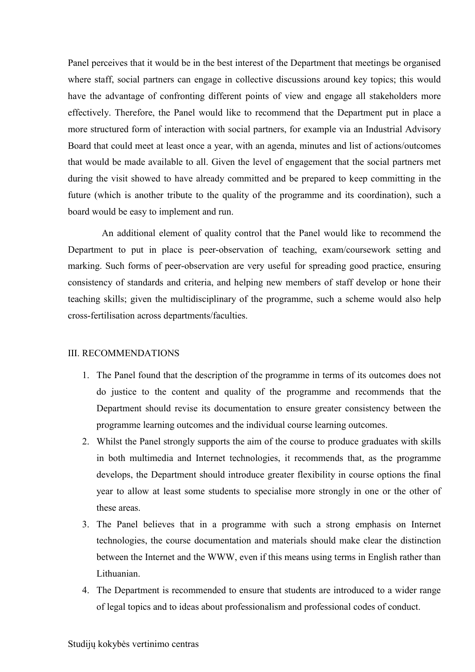Panel perceives that it would be in the best interest of the Department that meetings be organised where staff, social partners can engage in collective discussions around key topics; this would have the advantage of confronting different points of view and engage all stakeholders more effectively. Therefore, the Panel would like to recommend that the Department put in place a more structured form of interaction with social partners, for example via an Industrial Advisory Board that could meet at least once a year, with an agenda, minutes and list of actions/outcomes that would be made available to all. Given the level of engagement that the social partners met during the visit showed to have already committed and be prepared to keep committing in the future (which is another tribute to the quality of the programme and its coordination), such a board would be easy to implement and run.

An additional element of quality control that the Panel would like to recommend the Department to put in place is peer-observation of teaching, exam/coursework setting and marking. Such forms of peer-observation are very useful for spreading good practice, ensuring consistency of standards and criteria, and helping new members of staff develop or hone their teaching skills; given the multidisciplinary of the programme, such a scheme would also help cross-fertilisation across departments/faculties.

#### III. RECOMMENDATIONS

- 1. The Panel found that the description of the programme in terms of its outcomes does not do justice to the content and quality of the programme and recommends that the Department should revise its documentation to ensure greater consistency between the programme learning outcomes and the individual course learning outcomes.
- 2. Whilst the Panel strongly supports the aim of the course to produce graduates with skills in both multimedia and Internet technologies, it recommends that, as the programme develops, the Department should introduce greater flexibility in course options the final year to allow at least some students to specialise more strongly in one or the other of these areas.
- 3. The Panel believes that in a programme with such a strong emphasis on Internet technologies, the course documentation and materials should make clear the distinction between the Internet and the WWW, even if this means using terms in English rather than Lithuanian.
- 4. The Department is recommended to ensure that students are introduced to a wider range of legal topics and to ideas about professionalism and professional codes of conduct.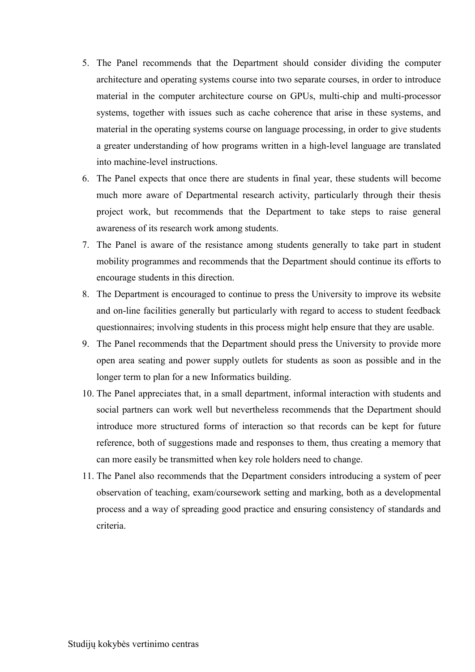- 5. The Panel recommends that the Department should consider dividing the computer architecture and operating systems course into two separate courses, in order to introduce material in the computer architecture course on GPUs, multi-chip and multi-processor systems, together with issues such as cache coherence that arise in these systems, and material in the operating systems course on language processing, in order to give students a greater understanding of how programs written in a high-level language are translated into machine-level instructions.
- 6. The Panel expects that once there are students in final year, these students will become much more aware of Departmental research activity, particularly through their thesis project work, but recommends that the Department to take steps to raise general awareness of its research work among students.
- 7. The Panel is aware of the resistance among students generally to take part in student mobility programmes and recommends that the Department should continue its efforts to encourage students in this direction.
- 8. The Department is encouraged to continue to press the University to improve its website and on-line facilities generally but particularly with regard to access to student feedback questionnaires; involving students in this process might help ensure that they are usable.
- 9. The Panel recommends that the Department should press the University to provide more open area seating and power supply outlets for students as soon as possible and in the longer term to plan for a new Informatics building.
- 10. The Panel appreciates that, in a small department, informal interaction with students and social partners can work well but nevertheless recommends that the Department should introduce more structured forms of interaction so that records can be kept for future reference, both of suggestions made and responses to them, thus creating a memory that can more easily be transmitted when key role holders need to change.
- 11. The Panel also recommends that the Department considers introducing a system of peer observation of teaching, exam/coursework setting and marking, both as a developmental process and a way of spreading good practice and ensuring consistency of standards and criteria.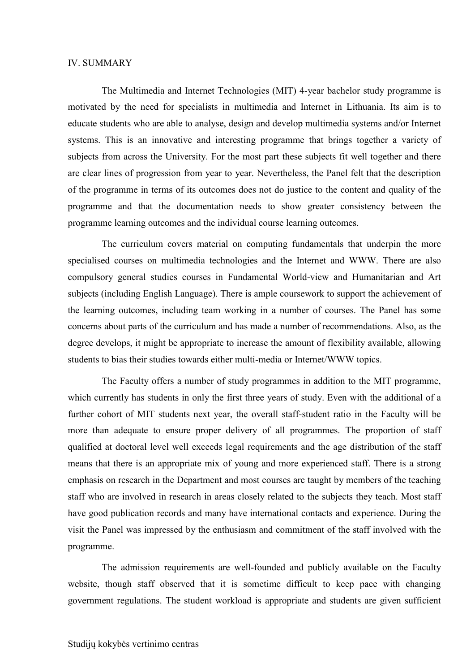#### IV. SUMMARY

The Multimedia and Internet Technologies (MIT) 4-year bachelor study programme is motivated by the need for specialists in multimedia and Internet in Lithuania. Its aim is to educate students who are able to analyse, design and develop multimedia systems and/or Internet systems. This is an innovative and interesting programme that brings together a variety of subjects from across the University. For the most part these subjects fit well together and there are clear lines of progression from year to year. Nevertheless, the Panel felt that the description of the programme in terms of its outcomes does not do justice to the content and quality of the programme and that the documentation needs to show greater consistency between the programme learning outcomes and the individual course learning outcomes.

The curriculum covers material on computing fundamentals that underpin the more specialised courses on multimedia technologies and the Internet and WWW. There are also compulsory general studies courses in Fundamental World-view and Humanitarian and Art subjects (including English Language). There is ample coursework to support the achievement of the learning outcomes, including team working in a number of courses. The Panel has some concerns about parts of the curriculum and has made a number of recommendations. Also, as the degree develops, it might be appropriate to increase the amount of flexibility available, allowing students to bias their studies towards either multi-media or Internet/WWW topics.

The Faculty offers a number of study programmes in addition to the MIT programme, which currently has students in only the first three years of study. Even with the additional of a further cohort of MIT students next year, the overall staff-student ratio in the Faculty will be more than adequate to ensure proper delivery of all programmes. The proportion of staff qualified at doctoral level well exceeds legal requirements and the age distribution of the staff means that there is an appropriate mix of young and more experienced staff. There is a strong emphasis on research in the Department and most courses are taught by members of the teaching staff who are involved in research in areas closely related to the subjects they teach. Most staff have good publication records and many have international contacts and experience. During the visit the Panel was impressed by the enthusiasm and commitment of the staff involved with the programme.

The admission requirements are well-founded and publicly available on the Faculty website, though staff observed that it is sometime difficult to keep pace with changing government regulations. The student workload is appropriate and students are given sufficient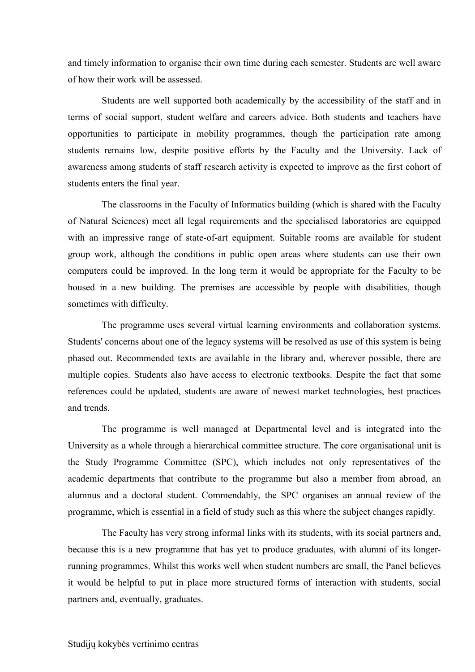and timely information to organise their own time during each semester. Students are well aware of how their work will be assessed.

Students are well supported both academically by the accessibility of the staff and in terms of social support, student welfare and careers advice. Both students and teachers have opportunities to participate in mobility programmes, though the participation rate among students remains low, despite positive efforts by the Faculty and the University. Lack of awareness among students of staff research activity is expected to improve as the first cohort of students enters the final year.

The classrooms in the Faculty of Informatics building (which is shared with the Faculty of Natural Sciences) meet all legal requirements and the specialised laboratories are equipped with an impressive range of state-of-art equipment. Suitable rooms are available for student group work, although the conditions in public open areas where students can use their own computers could be improved. In the long term it would be appropriate for the Faculty to be housed in a new building. The premises are accessible by people with disabilities, though sometimes with difficulty.

The programme uses several virtual learning environments and collaboration systems. Students' concerns about one of the legacy systems will be resolved as use of this system is being phased out. Recommended texts are available in the library and, wherever possible, there are multiple copies. Students also have access to electronic textbooks. Despite the fact that some references could be updated, students are aware of newest market technologies, best practices and trends.

The programme is well managed at Departmental level and is integrated into the University as a whole through a hierarchical committee structure. The core organisational unit is the Study Programme Committee (SPC), which includes not only representatives of the academic departments that contribute to the programme but also a member from abroad, an alumnus and a doctoral student. Commendably, the SPC organises an annual review of the programme, which is essential in a field of study such as this where the subject changes rapidly.

The Faculty has very strong informal links with its students, with its social partners and, because this is a new programme that has yet to produce graduates, with alumni of its longerrunning programmes. Whilst this works well when student numbers are small, the Panel believes it would be helpful to put in place more structured forms of interaction with students, social partners and, eventually, graduates.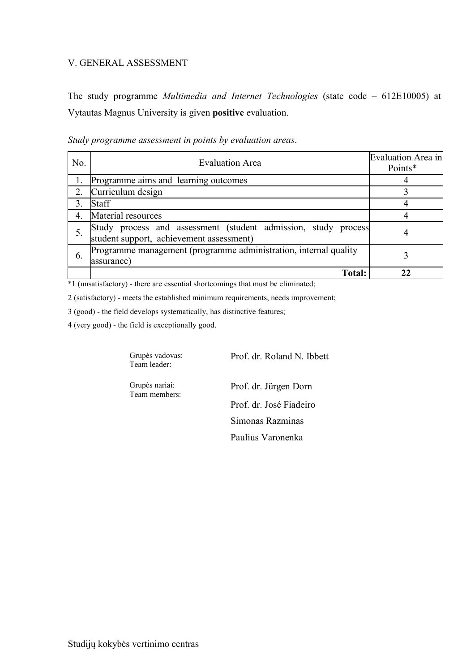#### V. GENERAL ASSESSMENT

The study programme *Multimedia and Internet Technologies* (state code – 612E10005) at Vytautas Magnus University is given **positive** evaluation.

| No. | <b>Evaluation Area</b>                                                                                        | <b>Evaluation Area in</b><br>Points* |
|-----|---------------------------------------------------------------------------------------------------------------|--------------------------------------|
|     | Programme aims and learning outcomes                                                                          |                                      |
| 2.  | Curriculum design                                                                                             |                                      |
|     | <b>Staff</b>                                                                                                  |                                      |
| 4.  | Material resources                                                                                            |                                      |
|     | Study process and assessment (student admission, study<br>process<br>student support, achievement assessment) | 4                                    |
| 6.  | Programme management (programme administration, internal quality<br>assurance)                                |                                      |
|     | <b>Total:</b>                                                                                                 |                                      |

*Study programme assessment in points by evaluation areas*.

\*1 (unsatisfactory) - there are essential shortcomings that must be eliminated;

2 (satisfactory) - meets the established minimum requirements, needs improvement;

3 (good) - the field develops systematically, has distinctive features;

4 (very good) - the field is exceptionally good.

Grupės vadovas: Team leader:

Prof. dr. Roland N. Ibbett

Grupės nariai: Team members:

Prof. dr. Jürgen Dorn Prof. dr. José Fiadeiro Simonas Razminas Paulius Varonenka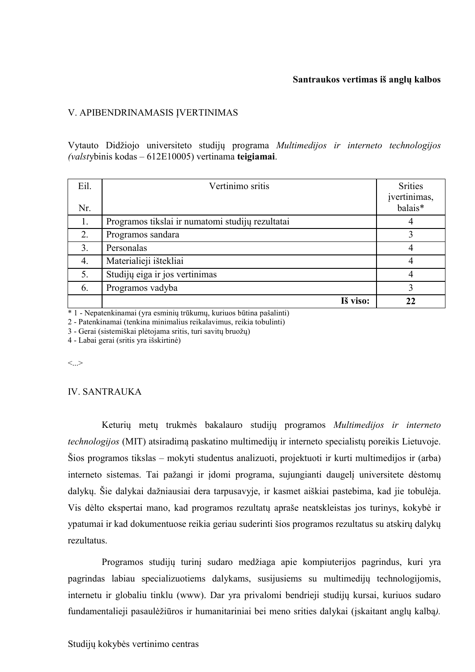#### **Santraukos vertimas iš anglų kalbos**

#### V. APIBENDRINAMASIS ĮVERTINIMAS

Vytauto Didžiojo universiteto studijų programa *Multimedijos ir interneto technologijos (valst*ybinis kodas – 612E10005) vertinama **teigiamai**.

| Eil.<br>Nr. | Vertinimo sritis                                 | <b>Srities</b><br>įvertinimas,<br>balais* |
|-------------|--------------------------------------------------|-------------------------------------------|
| 1.          | Programos tikslai ir numatomi studijų rezultatai |                                           |
| 2.          | Programos sandara                                |                                           |
| 3.          | Personalas                                       | 4                                         |
| 4.          | Materialieji ištekliai                           | 4                                         |
| 5.          | Studijų eiga ir jos vertinimas                   |                                           |
| 6.          | Programos vadyba                                 | 3                                         |
|             | Iš viso:                                         | 22                                        |

\* 1 - Nepatenkinamai (yra esminių trūkumų, kuriuos būtina pašalinti)

2 - Patenkinamai (tenkina minimalius reikalavimus, reikia tobulinti)

3 - Gerai (sistemiškai plėtojama sritis, turi savitų bruožų)

4 - Labai gerai (sritis yra išskirtinė)

 $\langle \cdot \rangle$ 

#### IV. SANTRAUKA

Keturių metų trukmės bakalauro studijų programos *Multimedijos ir interneto technologijos* (MIT) atsiradimą paskatino multimedijų ir interneto specialistų poreikis Lietuvoje. Šios programos tikslas – mokyti studentus analizuoti, projektuoti ir kurti multimedijos ir (arba) interneto sistemas. Tai pažangi ir įdomi programa, sujungianti daugelį universitete dėstomų dalykų. Šie dalykai dažniausiai dera tarpusavyje, ir kasmet aiškiai pastebima, kad jie tobulėja. Vis dėlto ekspertai mano, kad programos rezultatų apraše neatskleistas jos turinys, kokybė ir ypatumai ir kad dokumentuose reikia geriau suderinti šios programos rezultatus su atskirų dalykų rezultatus.

Programos studijų turinį sudaro medžiaga apie kompiuterijos pagrindus, kuri yra pagrindas labiau specializuotiems dalykams, susijusiems su multimedijų technologijomis, internetu ir globaliu tinklu (www). Dar yra privalomi bendrieji studijų kursai, kuriuos sudaro fundamentalieji pasaulėžiūros ir humanitariniai bei meno srities dalykai (įskaitant anglų kalbą*).*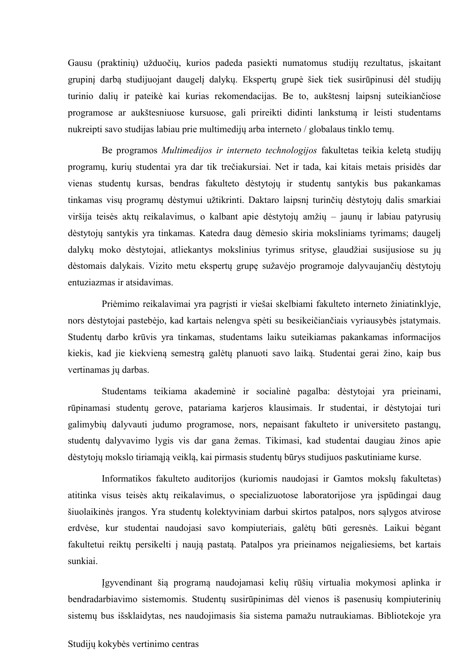Gausu (praktinių) užduočių, kurios padeda pasiekti numatomus studijų rezultatus, įskaitant grupinį darbą studijuojant daugelį dalykų. Ekspertų grupė šiek tiek susirūpinusi dėl studijų turinio dalių ir pateikė kai kurias rekomendacijas. Be to, aukštesnį laipsnį suteikiančiose programose ar aukštesniuose kursuose, gali prireikti didinti lankstumą ir leisti studentams nukreipti savo studijas labiau prie multimedijų arba interneto / globalaus tinklo temų.

Be programos *Multimedijos ir interneto technologijos* fakultetas teikia keletą studijų programų, kurių studentai yra dar tik trečiakursiai. Net ir tada, kai kitais metais prisidės dar vienas studentų kursas, bendras fakulteto dėstytojų ir studentų santykis bus pakankamas tinkamas visų programų dėstymui užtikrinti. Daktaro laipsnį turinčių dėstytojų dalis smarkiai viršija teisės aktų reikalavimus, o kalbant apie dėstytojų amžių – jaunų ir labiau patyrusių dėstytojų santykis yra tinkamas. Katedra daug dėmesio skiria moksliniams tyrimams; daugelį dalykų moko dėstytojai, atliekantys mokslinius tyrimus srityse, glaudžiai susijusiose su jų dėstomais dalykais. Vizito metu ekspertų grupę sužavėjo programoje dalyvaujančių dėstytojų entuziazmas ir atsidavimas.

Priėmimo reikalavimai yra pagrįsti ir viešai skelbiami fakulteto interneto žiniatinklyje, nors dėstytojai pastebėjo, kad kartais nelengva spėti su besikeičiančiais vyriausybės įstatymais. Studentų darbo krūvis yra tinkamas, studentams laiku suteikiamas pakankamas informacijos kiekis, kad jie kiekvieną semestrą galėtų planuoti savo laiką. Studentai gerai žino, kaip bus vertinamas jų darbas.

Studentams teikiama akademinė ir socialinė pagalba: dėstytojai yra prieinami, rūpinamasi studentų gerove, patariama karjeros klausimais. Ir studentai, ir dėstytojai turi galimybių dalyvauti judumo programose, nors, nepaisant fakulteto ir universiteto pastangų, studentų dalyvavimo lygis vis dar gana žemas. Tikimasi, kad studentai daugiau žinos apie dėstytojų mokslo tiriamąją veiklą, kai pirmasis studentų būrys studijuos paskutiniame kurse.

Informatikos fakulteto auditorijos (kuriomis naudojasi ir Gamtos mokslų fakultetas) atitinka visus teisės aktų reikalavimus, o specializuotose laboratorijose yra įspūdingai daug šiuolaikinės įrangos. Yra studentų kolektyviniam darbui skirtos patalpos, nors sąlygos atvirose erdvėse, kur studentai naudojasi savo kompiuteriais, galėtų būti geresnės. Laikui bėgant fakultetui reiktų persikelti į naują pastatą. Patalpos yra prieinamos neįgaliesiems, bet kartais sunkiai.

Įgyvendinant šią programą naudojamasi kelių rūšių virtualia mokymosi aplinka ir bendradarbiavimo sistemomis. Studentų susirūpinimas dėl vienos iš pasenusių kompiuterinių sistemų bus išsklaidytas, nes naudojimasis šia sistema pamažu nutraukiamas. Bibliotekoje yra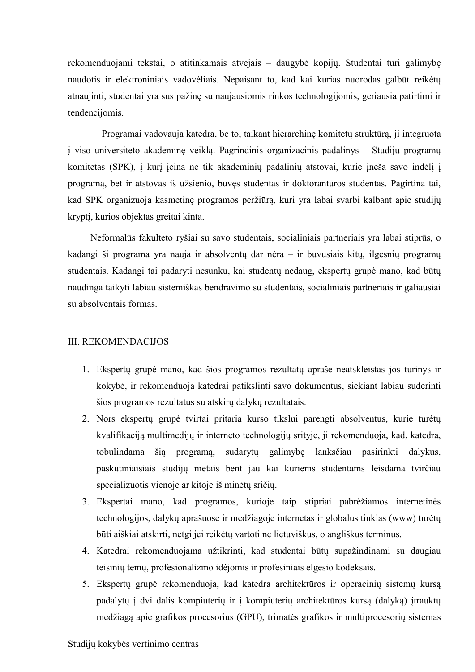rekomenduojami tekstai, o atitinkamais atvejais – daugybė kopijų. Studentai turi galimybę naudotis ir elektroniniais vadovėliais. Nepaisant to, kad kai kurias nuorodas galbūt reikėtų atnaujinti, studentai yra susipažinę su naujausiomis rinkos technologijomis, geriausia patirtimi ir tendencijomis.

Programai vadovauja katedra, be to, taikant hierarchinę komitetų struktūrą, ji integruota į viso universiteto akademinę veiklą. Pagrindinis organizacinis padalinys – Studijų programų komitetas (SPK), į kurį įeina ne tik akademinių padalinių atstovai, kurie įneša savo indėlį į programą, bet ir atstovas iš užsienio, buvęs studentas ir doktorantūros studentas. Pagirtina tai, kad SPK organizuoja kasmetinę programos peržiūrą, kuri yra labai svarbi kalbant apie studijų kryptį, kurios objektas greitai kinta.

Neformalūs fakulteto ryšiai su savo studentais, socialiniais partneriais yra labai stiprūs, o kadangi ši programa yra nauja ir absolventų dar nėra – ir buvusiais kitų, ilgesnių programų studentais. Kadangi tai padaryti nesunku, kai studentų nedaug, ekspertų grupė mano, kad būtų naudinga taikyti labiau sistemiškas bendravimo su studentais, socialiniais partneriais ir galiausiai su absolventais formas.

#### III. REKOMENDACIJOS

- 1. Ekspertų grupė mano, kad šios programos rezultatų apraše neatskleistas jos turinys ir kokybė, ir rekomenduoja katedrai patikslinti savo dokumentus, siekiant labiau suderinti šios programos rezultatus su atskirų dalykų rezultatais.
- 2. Nors ekspertų grupė tvirtai pritaria kurso tikslui parengti absolventus, kurie turėtų kvalifikaciją multimedijų ir interneto technologijų srityje, ji rekomenduoja, kad, katedra, tobulindama šią programą, sudarytų galimybę lanksčiau pasirinkti dalykus, paskutiniaisiais studijų metais bent jau kai kuriems studentams leisdama tvirčiau specializuotis vienoje ar kitoje iš minėtų sričių.
- 3. Ekspertai mano, kad programos, kurioje taip stipriai pabrėžiamos internetinės technologijos, dalykų aprašuose ir medžiagoje internetas ir globalus tinklas (www) turėtų būti aiškiai atskirti, netgi jei reikėtų vartoti ne lietuviškus, o angliškus terminus.
- 4. Katedrai rekomenduojama užtikrinti, kad studentai būtų supažindinami su daugiau teisinių temų, profesionalizmo idėjomis ir profesiniais elgesio kodeksais.
- 5. Ekspertų grupė rekomenduoja, kad katedra architektūros ir operacinių sistemų kursą padalytų į dvi dalis kompiuterių ir į kompiuterių architektūros kursą (dalyką) įtrauktų medžiagą apie grafikos procesorius (GPU), trimatės grafikos ir multiprocesorių sistemas